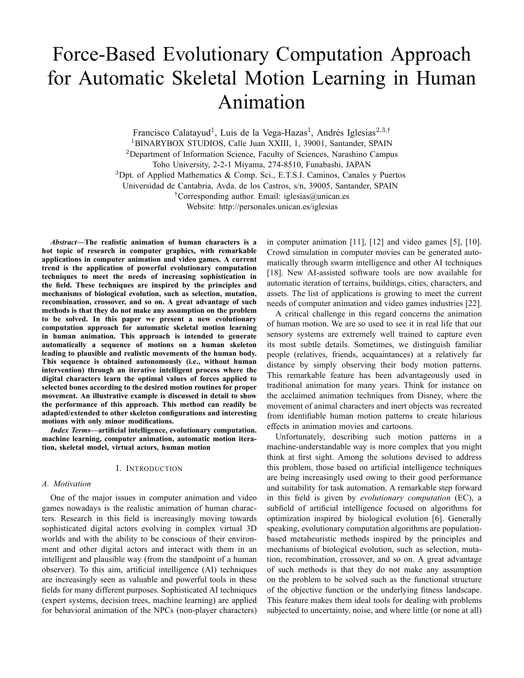# Force-Based Evolutionary Computation Approach for Automatic Skeletal Motion Learning in Human Animation

Francisco Calatayud<sup>1</sup>, Luis de la Vega-Hazas<sup>1</sup>, Andrés Iglesias<sup>2,3,†</sup> <sup>1</sup>BINARYBOX STUDIOS, Calle Juan XXIII, 1, 39001, Santander, SPAIN

<sup>2</sup>Department of Information Science, Faculty of Sciences, Narashino Campus

Toho University, 2-2-1 Miyama, 274-8510, Funabashi, JAPAN

<sup>3</sup>Dpt. of Applied Mathematics & Comp. Sci., E.T.S.I. Caminos, Canales y Puertos

Universidad de Cantabria, Avda. de los Castros, s/n, 39005, Santander, SPAIN

: Corresponding author. Email: iglesias@unican.es

Website: http://personales.unican.es/iglesias

*Abstract***—The realistic animation of human characters is a hot topic of research in computer graphics, with remarkable applications in computer animation and video games. A current trend is the application of powerful evolutionary computation techniques to meet the needs of increasing sophistication in the field. These techniques are inspired by the principles and mechanisms of biological evolution, such as selection, mutation, recombination, crossover, and so on. A great advantage of such methods is that they do not make any assumption on the problem to be solved. In this paper we present a new evolutionary computation approach for automatic skeletal motion learning in human animation. This approach is intended to generate automatically a sequence of motions on a human skeleton leading to plausible and realistic movements of the human body. This sequence is obtained autonomously (i.e., without human intervention) through an iterative intelligent process where the digital characters learn the optimal values of forces applied to selected bones according to the desired motion routines for proper movement. An illustrative example is discussed in detail to show the performance of this approach. This method can readily be adapted/extended to other skeleton configurations and interesting motions with only minor modifications.**

*Index Terms***—artificial intelligence, evolutionary computation. machine learning, computer animation, automatic motion iteration, skeletal model, virtual actors, human motion**

### I. INTRODUCTION

#### *A. Motivation*

One of the major issues in computer animation and video games nowadays is the realistic animation of human characters. Research in this field is increasingly moving towards sophisticated digital actors evolving in complex virtual 3D worlds and with the ability to be conscious of their environment and other digital actors and interact with them in an intelligent and plausible way (from the standpoint of a human observer). To this aim, artificial intelligence (AI) techniques are increasingly seen as valuable and powerful tools in these fields for many different purposes. Sophisticated AI techniques (expert systems, decision trees, machine learning) are applied for behavioral animation of the NPCs (non-player characters)

in computer animation [11], [12] and video games [5], [10]. Crowd simulation in computer movies can be generated automatically through swarm intelligence and other AI techniques [18]. New AI-assisted software tools are now available for automatic iteration of terrains, buildings, cities, characters, and assets. The list of applications is growing to meet the current needs of computer animation and video games industries [22].

A critical challenge in this regard concerns the animation of human motion. We are so used to see it in real life that our sensory systems are extremely well trained to capture even its most subtle details. Sometimes, we distinguish familiar people (relatives, friends, acquaintances) at a relatively far distance by simply observing their body motion patterns. This remarkable feature has been advantageously used in traditional animation for many years. Think for instance on the acclaimed animation techniques from Disney, where the movement of animal characters and inert objects was recreated from identifiable human motion patterns to create hilarious effects in animation movies and cartoons.

Unfortunately, describing such motion patterns in a machine-understandable way is more complex that you might think at first sight. Among the solutions devised to address this problem, those based on artificial intelligence techniques are being increasingly used owing to their good performance and suitability for task automation. A remarkable step forward in this field is given by *evolutionary computation* (EC), a subfield of artificial intelligence focused on algorithms for optimization inspired by biological evolution [6]. Generally speaking, evolutionary computation algorithms are populationbased metaheuristic methods inspired by the principles and mechanisms of biological evolution, such as selection, mutation, recombination, crossover, and so on. A great advantage of such methods is that they do not make any assumption on the problem to be solved such as the functional structure of the objective function or the underlying fitness landscape. This feature makes them ideal tools for dealing with problems subjected to uncertainty, noise, and where little (or none at all)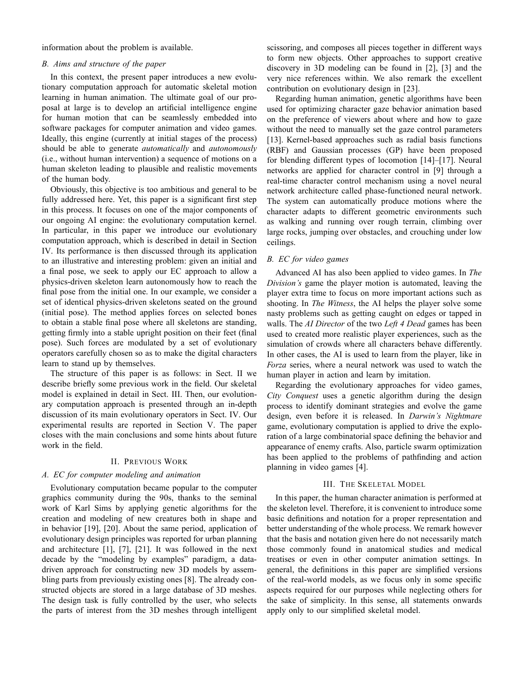information about the problem is available.

## *B. Aims and structure of the paper*

In this context, the present paper introduces a new evolutionary computation approach for automatic skeletal motion learning in human animation. The ultimate goal of our proposal at large is to develop an artificial intelligence engine for human motion that can be seamlessly embedded into software packages for computer animation and video games. Ideally, this engine (currently at initial stages of the process) should be able to generate *automatically* and *autonomously* (i.e., without human intervention) a sequence of motions on a human skeleton leading to plausible and realistic movements of the human body.

Obviously, this objective is too ambitious and general to be fully addressed here. Yet, this paper is a significant first step in this process. It focuses on one of the major components of our ongoing AI engine: the evolutionary computation kernel. In particular, in this paper we introduce our evolutionary computation approach, which is described in detail in Section IV. Its performance is then discussed through its application to an illustrative and interesting problem: given an initial and a final pose, we seek to apply our EC approach to allow a physics-driven skeleton learn autonomously how to reach the final pose from the initial one. In our example, we consider a set of identical physics-driven skeletons seated on the ground (initial pose). The method applies forces on selected bones to obtain a stable final pose where all skeletons are standing, getting firmly into a stable upright position on their feet (final pose). Such forces are modulated by a set of evolutionary operators carefully chosen so as to make the digital characters learn to stand up by themselves.

The structure of this paper is as follows: in Sect. II we describe briefly some previous work in the field. Our skeletal model is explained in detail in Sect. III. Then, our evolutionary computation approach is presented through an in-depth discussion of its main evolutionary operators in Sect. IV. Our experimental results are reported in Section V. The paper closes with the main conclusions and some hints about future work in the field.

## II. PREVIOUS WORK

#### *A. EC for computer modeling and animation*

Evolutionary computation became popular to the computer graphics community during the 90s, thanks to the seminal work of Karl Sims by applying genetic algorithms for the creation and modeling of new creatures both in shape and in behavior [19], [20]. About the same period, application of evolutionary design principles was reported for urban planning and architecture [1], [7], [21]. It was followed in the next decade by the "modeling by examples" paradigm, a datadriven approach for constructing new 3D models by assembling parts from previously existing ones [8]. The already constructed objects are stored in a large database of 3D meshes. The design task is fully controlled by the user, who selects the parts of interest from the 3D meshes through intelligent

scissoring, and composes all pieces together in different ways to form new objects. Other approaches to support creative discovery in 3D modeling can be found in [2], [3] and the very nice references within. We also remark the excellent contribution on evolutionary design in [23].

Regarding human animation, genetic algorithms have been used for optimizing character gaze behavior animation based on the preference of viewers about where and how to gaze without the need to manually set the gaze control parameters [13]. Kernel-based approaches such as radial basis functions (RBF) and Gaussian processes (GP) have been proposed for blending different types of locomotion [14]–[17]. Neural networks are applied for character control in [9] through a real-time character control mechanism using a novel neural network architecture called phase-functioned neural network. The system can automatically produce motions where the character adapts to different geometric environments such as walking and running over rough terrain, climbing over large rocks, jumping over obstacles, and crouching under low ceilings.

## *B. EC for video games*

Advanced AI has also been applied to video games. In *The Division's* game the player motion is automated, leaving the player extra time to focus on more important actions such as shooting. In *The Witness*, the AI helps the player solve some nasty problems such as getting caught on edges or tapped in walls. The *AI Director* of the two *Left 4 Dead* games has been used to created more realistic player experiences, such as the simulation of crowds where all characters behave differently. In other cases, the AI is used to learn from the player, like in *Forza* series, where a neural network was used to watch the human player in action and learn by imitation.

Regarding the evolutionary approaches for video games, *City Conquest* uses a genetic algorithm during the design process to identify dominant strategies and evolve the game design, even before it is released. In *Darwin's Nightmare* game, evolutionary computation is applied to drive the exploration of a large combinatorial space defining the behavior and appearance of enemy crafts. Also, particle swarm optimization has been applied to the problems of pathfinding and action planning in video games [4].

## III. THE SKELETAL MODEL

In this paper, the human character animation is performed at the skeleton level. Therefore, it is convenient to introduce some basic definitions and notation for a proper representation and better understanding of the whole process. We remark however that the basis and notation given here do not necessarily match those commonly found in anatomical studies and medical treatises or even in other computer animation settings. In general, the definitions in this paper are simplified versions of the real-world models, as we focus only in some specific aspects required for our purposes while neglecting others for the sake of simplicity. In this sense, all statements onwards apply only to our simplified skeletal model.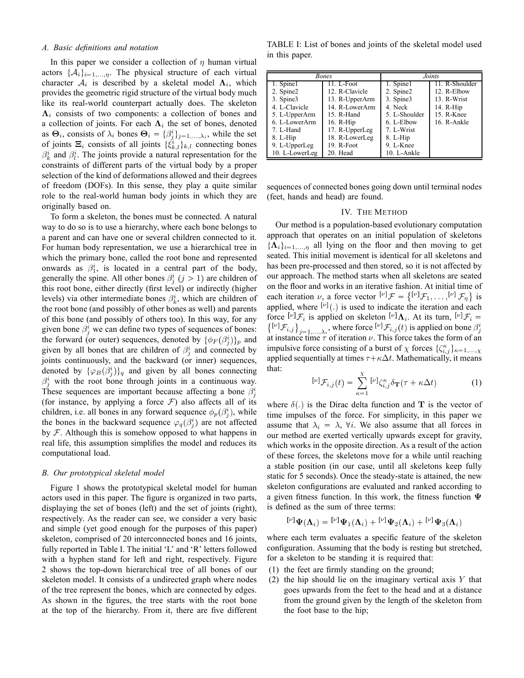## *A. Basic definitions and notation*

In this paper we consider a collection of  $\eta$  human virtual actors  $\{\mathcal{A}_i\}_{i=1,\dots,n}$ . The physical structure of each virtual character  $A_i$  is described by a skeletal model  $\Lambda_i$ , which provides the geometric rigid structure of the virtual body much like its real-world counterpart actually does. The skeleton  $\Lambda_i$  consists of two components: a collection of bones and a collection of joints. For each  $\Lambda_i$  the set of bones, denoted as  $\Theta_i$ , consists of  $\lambda_i$  bones  $\Theta_i = {\beta_i^i}_{j=1,\dots,\lambda_i}$ , while the set of joints  $\Xi_i$  consists of all joints  $\{\xi_{k,l}^i\}_{k,l}$  connecting bones  $\beta_k^i$  and  $\beta_l^i$ . The joints provide a natural representation for the constraints of different parts of the virtual body by a proper selection of the kind of deformations allowed and their degrees of freedom (DOFs). In this sense, they play a quite similar role to the real-world human body joints in which they are originally based on.

To form a skeleton, the bones must be connected. A natural way to do so is to use a hierarchy, where each bone belongs to a parent and can have one or several children connected to it. For human body representation, we use a hierarchical tree in which the primary bone, called the root bone and represented onwards as  $\beta_1^i$ , is located in a central part of the body, generally the spine. All other bones  $\beta_j^i$   $(j > 1)$  are children of this root bone, either directly (first level) or indirectly (higher levels) via other intermediate bones  $\beta_k^i$ , which are children of the root bone (and possibly of other bones as well) and parents of this bone (and possibly of others too). In this way, for any given bone  $\beta_j^i$  we can define two types of sequences of bones: the forward (or outer) sequences, denoted by  $\{\phi_F(\beta_j^i)\}_p$  and given by all bones that are children of  $\beta_j^i$  and connected by joints continuously, and the backward (or inner) sequences, denoted by  $\{\varphi_B(\beta_j^i)\}_q$  and given by all bones connecting  $\beta_j^i$  with the root bone through joints in a continuous way. These sequences are important because affecting a bone  $\beta_j^i$ (for instance, by applying a force  $\mathcal F$ ) also affects all of its children, i.e. all bones in any forward sequence  $\phi_p(\beta_j^i)$ , while the bones in the backward sequence  $\varphi_q(\beta_j^i)$  are not affected by  $F$ . Although this is somehow opposed to what happens in real life, this assumption simplifies the model and reduces its computational load.

## *B. Our prototypical skeletal model*

Figure 1 shows the prototypical skeletal model for human actors used in this paper. The figure is organized in two parts, displaying the set of bones (left) and the set of joints (right), respectively. As the reader can see, we consider a very basic and simple (yet good enough for the purposes of this paper) skeleton, comprised of 20 interconnected bones and 16 joints, fully reported in Table I. The initial 'L' and 'R' letters followed with a hyphen stand for left and right, respectively. Figure 2 shows the top-down hierarchical tree of all bones of our skeleton model. It consists of a undirected graph where nodes of the tree represent the bones, which are connected by edges. As shown in the figures, the tree starts with the root bone at the top of the hierarchy. From it, there are five different

TABLE I: List of bones and joints of the skeletal model used in this paper.

| <b>Bones</b>   |                | Joints.       |                |
|----------------|----------------|---------------|----------------|
| 1. Spine1      | 11. L-Foot     | 1. Spine1     | 11. R-Shoulder |
| 2. Spine2      | 12. R-Clavicle | 2. Spine2     | 12. R-Elbow    |
| 3. Spine3      | 13. R-UpperArm | 3. Spine3     | 13. R-Wrist    |
| 4. L-Clavicle  | 14. R-LowerArm | 4. Neck       | $14. R-Hip$    |
| 5. L-UpperArm  | 15. R-Hand     | 5. L-Shoulder | 15. R-Knee     |
| 6. L-LowerArm  | 16. R-Hip      | 6. L-Elbow    | 16. R-Ankle    |
| 7. L-Hand      | 17. R-UpperLeg | 7. L-Wrist    |                |
| $8. L-Hip$     | 18. R-LowerLeg | $8. L-Hip$    |                |
| 9. L-UpperLeg  | 19. R-Foot     | 9. L-Knee     |                |
| 10. L-LowerLeg | 20. Head       | 10. L-Ankle   |                |

sequences of connected bones going down until terminal nodes (feet, hands and head) are found.

## IV. THE METHOD

Our method is a population-based evolutionary computation approach that operates on an initial population of skeletons  $\{\mathbf{\Lambda}_i\}_{i=1,...,n}$  all lying on the floor and then moving to get seated. This initial movement is identical for all skeletons and has been pre-processed and then stored, so it is not affected by our approach. The method starts when all skeletons are seated on the floor and works in an iterative fashion. At initial time of each iteration  $\nu$ , a force vector  $[\nu]$   $\mathcal{F} = \{ [\nu]$   $\mathcal{F}_1, \ldots, [\nu]$   $\mathcal{F}_{\eta} \}$  is applied, where  $[\nu]$ .) is used to indicate the iteration and each force  $[\nu]$   $\mathcal{F}_i$  is applied on skeleton  $[\nu]$   $\Lambda_i$ . At its turn,  $[\nu]$   $\mathcal{F}_i$  =  $\left\{\begin{bmatrix} [\nu]\mathcal{F}_{i,j} \end{bmatrix}\right\}_{j=1,...,\lambda_i}$ , where force  $[\nu]\mathcal{F}_{i,j}(t)$  is applied on bone  $\beta_j^i$  at instance time  $\tau$  of iteration  $\nu$ . This force takes the form of an impulsive force consisting of a burst of  $\chi$  forces  $\{\zeta_{i,j}^{\kappa}\}_{\kappa=1,\ldots,\chi}$ applied sequentially at times  $\tau + \kappa \Delta t$ . Mathematically, it means that:

$$
[\nu] \mathcal{F}_{i,j}(t) = \sum_{\kappa=1}^{\chi} [\nu] \zeta_{i,j}^{\kappa} \delta_{\mathbf{T}}(\tau + \kappa \Delta t)
$$
 (1)

where  $\delta(.)$  is the Dirac delta function and T is the vector of time impulses of the force. For simplicity, in this paper we assume that  $\lambda_i = \lambda$ ,  $\forall i$ . We also assume that all forces in our method are exerted vertically upwards except for gravity, which works in the opposite direction. As a result of the action of these forces, the skeletons move for a while until reaching a stable position (in our case, until all skeletons keep fully static for 5 seconds). Once the steady-state is attained, the new skeleton configurations are evaluated and ranked according to a given fitness function. In this work, the fitness function  $\Psi$ is defined as the sum of three terms:

$$
[V] \Psi(\Lambda_i) = [V] \Psi_1(\Lambda_i) + [V] \Psi_2(\Lambda_i) + [V] \Psi_3(\Lambda_i)
$$

where each term evaluates a specific feature of the skeleton configuration. Assuming that the body is resting but stretched, for a skeleton to be standing it is required that:

- (1) the feet are firmly standing on the ground;
- (2) the hip should lie on the imaginary vertical axis  $Y$  that goes upwards from the feet to the head and at a distance from the ground given by the length of the skeleton from the foot base to the hip;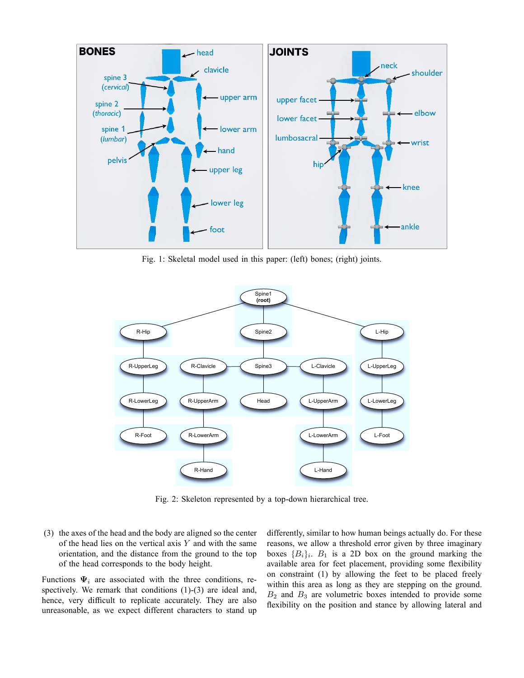

Fig. 1: Skeletal model used in this paper: (left) bones; (right) joints.



Fig. 2: Skeleton represented by a top-down hierarchical tree.

(3) the axes of the head and the body are aligned so the center of the head lies on the vertical axis  $Y$  and with the same orientation, and the distance from the ground to the top of the head corresponds to the body height.

Functions  $\Psi_i$  are associated with the three conditions, respectively. We remark that conditions (1)-(3) are ideal and, hence, very difficult to replicate accurately. They are also unreasonable, as we expect different characters to stand up differently, similar to how human beings actually do. For these reasons, we allow a threshold error given by three imaginary boxes  ${B_i}_i$ .  $B_1$  is a 2D box on the ground marking the available area for feet placement, providing some flexibility on constraint (1) by allowing the feet to be placed freely within this area as long as they are stepping on the ground.  $B_2$  and  $B_3$  are volumetric boxes intended to provide some flexibility on the position and stance by allowing lateral and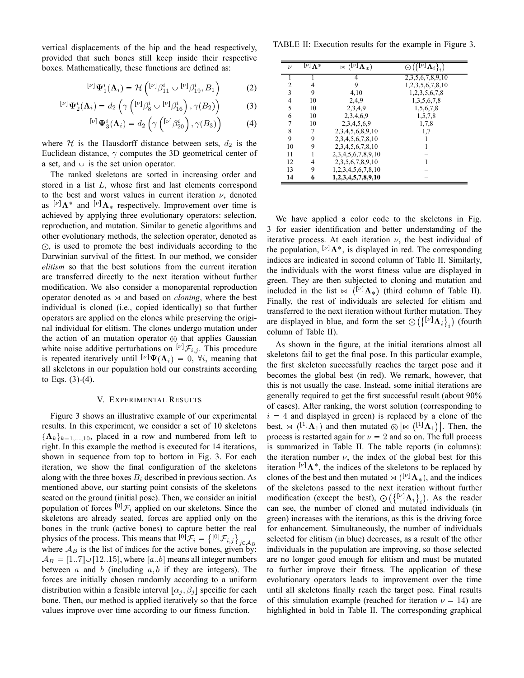vertical displacements of the hip and the head respectively, provided that such bones still keep inside their respective boxes. Mathematically, these functions are defined as:

$$
{}^{[\nu]}\Psi_1^i(\Lambda_i) = \mathcal{H}\left({}^{[\nu]}\beta_{11}^i \cup {}^{[\nu]}\beta_{19}^i, B_1\right) \tag{2}
$$

$$
{}^{[\nu]}\Psi_2^i(\Lambda_i) = d_2\left(\gamma\left({}^{[\nu]}\beta_8^i \cup {}^{[\nu]}\beta_{16}^i\right), \gamma(B_2)\right) \tag{3}
$$

$$
[\nu] \Psi_3^i(\Lambda_i) = d_2 \left( \gamma \left( [\nu] \beta_{20}^i \right), \gamma(B_3) \right) \tag{4}
$$

where  $H$  is the Hausdorff distance between sets,  $d_2$  is the Euclidean distance,  $\gamma$  computes the 3D geometrical center of a set, and  $\cup$  is the set union operator.

The ranked skeletons are sorted in increasing order and stored in a list L, whose first and last elements correspond to the best and worst values in current iteration  $\nu$ , denoted as  $[\nu]$   $\Lambda^*$  and  $[\nu]$   $\Lambda_*$  respectively. Improvement over time is achieved by applying three evolutionary operators: selection, reproduction, and mutation. Similar to genetic algorithms and other evolutionary methods, the selection operator, denoted as  $\odot$ , is used to promote the best individuals according to the Darwinian survival of the fittest. In our method, we consider *elitism* so that the best solutions from the current iteration are transferred directly to the next iteration without further modification. We also consider a monoparental reproduction operator denoted as  $\bowtie$  and based on *cloning*, where the best individual is cloned (i.e., copied identically) so that further operators are applied on the clones while preserving the original individual for elitism. The clones undergo mutation under the action of an mutation operator  $\otimes$  that applies Gaussian white noise additive perturbations on  $[\nu]$   $\mathcal{F}_{i,j}$ . This procedure is repeated iteratively until  $[\nu] \Psi(\Lambda_i) = 0$ ,  $\forall i$ , meaning that all skeletons in our population hold our constraints according to Eqs.  $(3)-(4)$ .

#### V. EXPERIMENTAL RESULTS

Figure 3 shows an illustrative example of our experimental results. In this experiment, we consider a set of 10 skeletons  $\{\mathbf{\Lambda}_k\}_{k=1,\ldots,10}$ , placed in a row and numbered from left to right. In this example the method is executed for 14 iterations, shown in sequence from top to bottom in Fig. 3. For each iteration, we show the final configuration of the skeletons along with the three boxes  $B_i$  described in previous section. As mentioned above, our starting point consists of the skeletons seated on the ground (initial pose). Then, we consider an initial population of forces  $\left[0\right]$   $\mathcal{F}_i$  applied on our skeletons. Since the skeletons are already seated, forces are applied only on the bones in the trunk (active bones) to capture better the real physics of the process. This means that  $\left[0\right] \mathcal{F}_i = \left\{\left[0\right] \mathcal{F}_{i,j}\right\}_{j \in \mathcal{A}_B}$  where  $\mathcal{A}_B$  is the list of indices for the active bones, given by:  $A_B = [1..7] \cup [12..15]$ , where [a..b] means all integer numbers between  $a$  and  $b$  (including  $a, b$  if they are integers). The forces are initially chosen randomly according to a uniform distribution within a feasible interval  $[\alpha_j, \beta_j]$  specific for each bone. Then, our method is applied iteratively so that the force values improve over time according to our fitness function.

TABLE II: Execution results for the example in Figure 3.

| $\overline{\nu}$ | $\lfloor \nu \rfloor \overline{\Lambda^*}$ | $\overline{\bowtie (\overset{\square}{\sqcup}}\Lambda_*)$ | $\overline{\odot}(\{\overline{[\nu]}\mathbf{A}_i\}_i)$ |
|------------------|--------------------------------------------|-----------------------------------------------------------|--------------------------------------------------------|
|                  |                                            |                                                           | 2, 3, 5, 6, 7, 8, 9, 10                                |
| 2                | 4                                          | 9                                                         | 1,2,3,5,6,7,8,10                                       |
| 3                | 9                                          | 4,10                                                      | 1,2,3,5,6,7,8                                          |
| 4                | 10                                         | 2.4.9                                                     | 1,3,5,6,7,8                                            |
| 5                | 10                                         | 2,3,4,9                                                   | 1,5,6,7,8                                              |
| 6                | 10                                         | 2,3,4,6,9                                                 | 1,5,7,8                                                |
| 7                | 10                                         | 2,3,4,5,6,9                                               | 1,7,8                                                  |
| 8                |                                            | 2,3,4,5,6,8,9,10                                          | 1,7                                                    |
| 9                | 9                                          | 2,3,4,5,6,7,8,10                                          |                                                        |
| 10               | 9                                          | 2,3,4,5,6,7,8,10                                          |                                                        |
| 11               |                                            | 2,3,4,5,6,7,8,9,10                                        |                                                        |
| 12               | 4                                          | 2,3,5,6,7,8,9,10                                          |                                                        |
| 13               | 9                                          | 1,2,3,4,5,6,7,8,10                                        |                                                        |
| 14               | 6                                          | 1,2,3,4,5,7,8,9,10                                        |                                                        |

We have applied a color code to the skeletons in Fig. 3 for easier identification and better understanding of the iterative process. At each iteration  $\nu$ , the best individual of the population,  $[\nu]$   $\Lambda^*$ , is displayed in red. The corresponding indices are indicated in second column of Table II. Similarly, the individuals with the worst fitness value are displayed in green. They are then subjected to cloning and mutation and included in the list  $\bowtie$  ( $\left[\nu\right]$   $\Lambda$ <sub>\*</sub>) (third column of Table II). Finally, the rest of individuals are selected for elitism and transferred to the next iteration without further mutation. They are displayed in blue, and form the set  $\odot (\lbrace \begin{bmatrix} \nu \end{bmatrix} \Lambda_i \rbrace_i)$  (fourth column of Table II).

As shown in the figure, at the initial iterations almost all skeletons fail to get the final pose. In this particular example, the first skeleton successfully reaches the target pose and it becomes the global best (in red). We remark, however, that this is not usually the case. Instead, some initial iterations are generally required to get the first successful result (about 90% of cases). After ranking, the worst solution (corresponding to  $i = 4$  and displayed in green) is replaced by a clone of the best,  $\bowtie$  ([1]  $\Lambda_1$ ) and then mutated  $\otimes \bowtie$  $([1]\Lambda_1)$ . Then, the process is restarted again for  $\nu = 2$  and so on. The full process is summarized in Table II. The table reports (in columns): the iteration number  $\nu$ , the index of the global best for this iteration  $\lbrack \nu \rbrack \Lambda^*$ , the indices of the skeletons to be replaced by clones of the best and then mutated  $\bowtie$  ( $\left[\nu\right]$   $\Lambda$ <sub>\*</sub>), and the indices of the skeletons passed to the next iteration without further modification (except the best),  $\odot (\{^{[\nu]}\Lambda_i\}_i)$ . As the reader can see, the number of cloned and mutated individuals (in green) increases with the iterations, as this is the driving force for enhancement. Simultaneously, the number of individuals selected for elitism (in blue) decreases, as a result of the other individuals in the population are improving, so those selected are no longer good enough for elitism and must be mutated to further improve their fitness. The application of these evolutionary operators leads to improvement over the time until all skeletons finally reach the target pose. Final results of this simulation example (reached for iteration  $\nu = 14$ ) are highlighted in bold in Table II. The corresponding graphical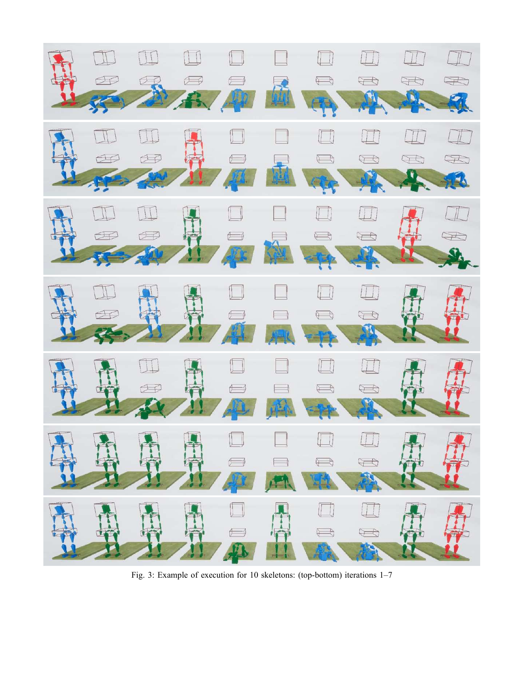

Fig. 3: Example of execution for 10 skeletons: (top-bottom) iterations 1–7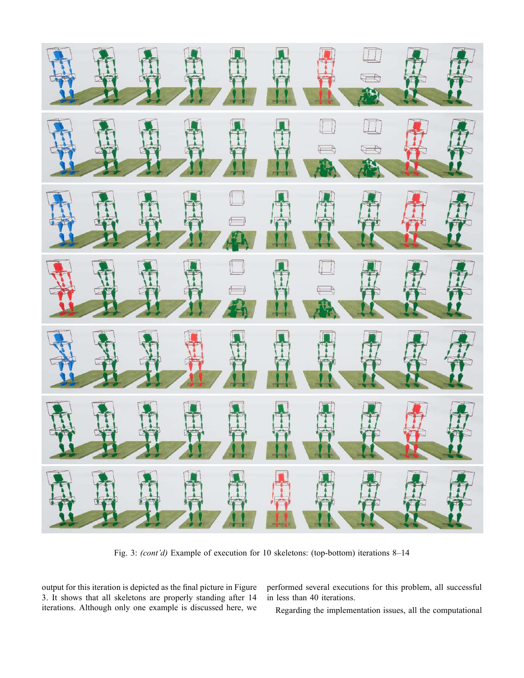

Fig. 3: *(cont'd)* Example of execution for 10 skeletons: (top-bottom) iterations 8–14

output for this iteration is depicted as the final picture in Figure 3. It shows that all skeletons are properly standing after 14 iterations. Although only one example is discussed here, we

performed several executions for this problem, all successful in less than 40 iterations.

Regarding the implementation issues, all the computational